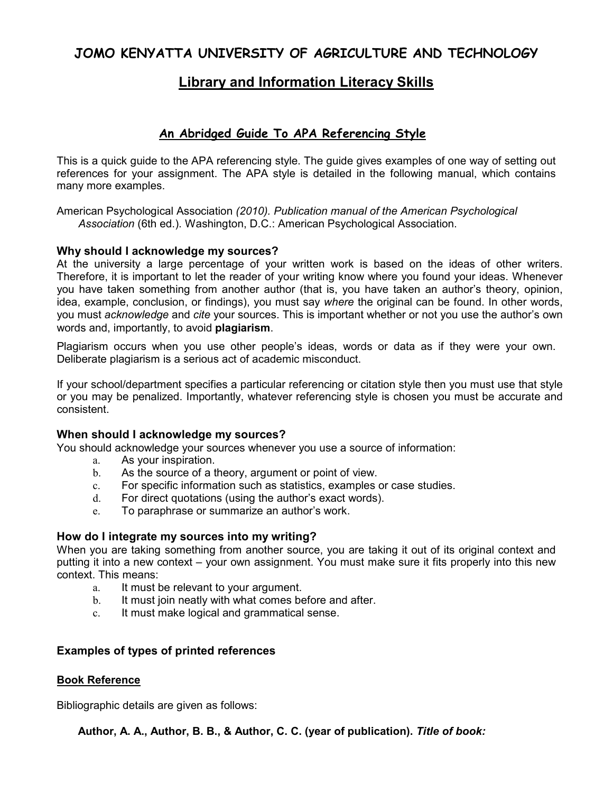# **JOMO KENYATTA UNIVERSITY OF AGRICULTURE AND TECHNOLOGY**

# **Library and Information Literacy Skills**

## **An Abridged Guide To APA Referencing Style**

This is a quick guide to the APA referencing style. The guide gives examples of one way of setting out references for your assignment. The APA style is detailed in the following manual, which contains many more examples.

American Psychological Association *(2010). Publication manual of the American Psychological Association* (6th ed.). Washington, D.C.: American Psychological Association.

## **Why should I acknowledge my sources?**

At the university a large percentage of your written work is based on the ideas of other writers. Therefore, it is important to let the reader of your writing know where you found your ideas. Whenever you have taken something from another author (that is, you have taken an author's theory, opinion, idea, example, conclusion, or findings), you must say *where* the original can be found. In other words, you must *acknowledge* and *cite* your sources. This is important whether or not you use the author's own words and, importantly, to avoid **plagiarism**.

Plagiarism occurs when you use other people's ideas, words or data as if they were your own. Deliberate plagiarism is a serious act of academic misconduct.

If your school/department specifies a particular referencing or citation style then you must use that style or you may be penalized. Importantly, whatever referencing style is chosen you must be accurate and consistent.

## **When should I acknowledge my sources?**

You should acknowledge your sources whenever you use a source of information:

- a. As your inspiration.
- b. As the source of a theory, argument or point of view.
- c. For specific information such as statistics, examples or case studies.
- d. For direct quotations (using the author's exact words).
- e. To paraphrase or summarize an author's work.

## **How do I integrate my sources into my writing?**

When you are taking something from another source, you are taking it out of its original context and putting it into a new context – your own assignment. You must make sure it fits properly into this new context. This means:

- a. It must be relevant to your argument.
- b. It must join neatly with what comes before and after.
- c. It must make logical and grammatical sense.

## **Examples of types of printed references**

## **Book Reference**

Bibliographic details are given as follows:

**Author, A. A., Author, B. B., & Author, C. C. (year of publication).** *Title of book:*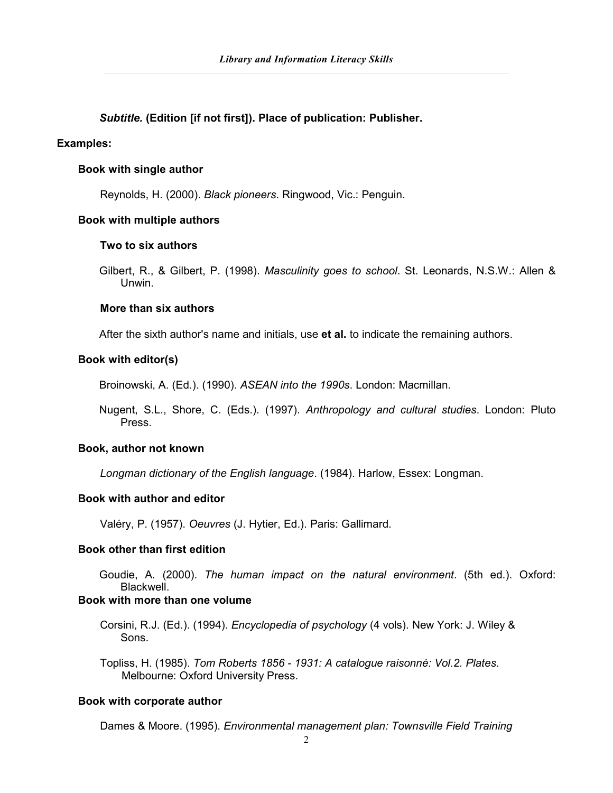*Subtitle.* **(Edition [if not first]). Place of publication: Publisher.**

## **Examples:**

#### **Book with single author**

Reynolds, H. (2000). *Black pioneers*. Ringwood, Vic.: Penguin.

## **Book with multiple authors**

#### **Two to six authors**

Gilbert, R., & Gilbert, P. (1998). *Masculinity goes to school*. St. Leonards, N.S.W.: Allen & Unwin.

## **More than six authors**

After the sixth author's name and initials, use **et al.** to indicate the remaining authors.

#### **Book with editor(s)**

Broinowski, A. (Ed.). (1990). *ASEAN into the 1990s*. London: Macmillan.

Nugent, S.L., Shore, C. (Eds.). (1997). *Anthropology and cultural studies*. London: Pluto Press.

## **Book, author not known**

*Longman dictionary of the English language*. (1984). Harlow, Essex: Longman.

## **Book with author and editor**

Valéry, P. (1957). *Oeuvres* (J. Hytier, Ed.). Paris: Gallimard.

#### **Book other than first edition**

Goudie, A. (2000). *The human impact on the natural environment*. (5th ed.). Oxford: Blackwell.

## **Book with more than one volume**

Corsini, R.J. (Ed.). (1994). *Encyclopedia of psychology* (4 vols). New York: J. Wiley & Sons.

Topliss, H. (1985). *Tom Roberts 1856 - 1931: A catalogue raisonné: Vol.2. Plates*. Melbourne: Oxford University Press.

#### **Book with corporate author**

Dames & Moore. (1995). *Environmental management plan: Townsville Field Training*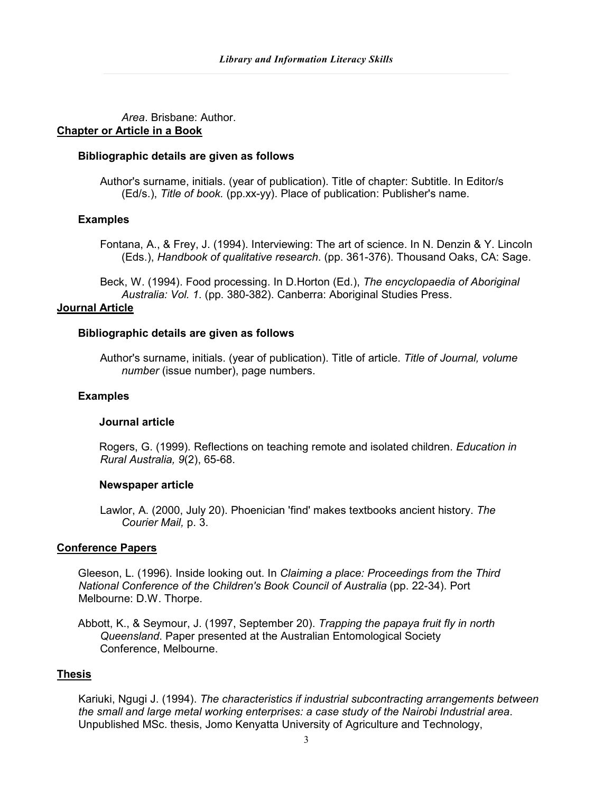*Area*. Brisbane: Author. **Chapter or Article in a Book**

## **Bibliographic details are given as follows**

Author's surname, initials. (year of publication). Title of chapter: Subtitle. In Editor/s (Ed/s.), *Title of book.* (pp.xx-yy). Place of publication: Publisher's name.

## **Examples**

Fontana, A., & Frey, J. (1994). Interviewing: The art of science. In N. Denzin & Y. Lincoln (Eds.), *Handbook of qualitative research*. (pp. 361-376). Thousand Oaks, CA: Sage.

Beck, W. (1994). Food processing. In D.Horton (Ed.), *The encyclopaedia of Aboriginal Australia: Vol. 1*. (pp. 380-382). Canberra: Aboriginal Studies Press.

## **Journal Article**

## **Bibliographic details are given as follows**

Author's surname, initials. (year of publication). Title of article. *Title of Journal, volume number* (issue number), page numbers.

## **Examples**

## **Journal article**

Rogers, G. (1999). Reflections on teaching remote and isolated children. *Education in Rural Australia, 9*(2), 65-68.

## **Newspaper article**

Lawlor, A. (2000, July 20). Phoenician 'find' makes textbooks ancient history. *The Courier Mail,* p. 3.

## **Conference Papers**

Gleeson, L. (1996). Inside looking out. In *Claiming a place: Proceedings from the Third National Conference of the Children's Book Council of Australia* (pp. 22-34). Port Melbourne: D.W. Thorpe.

Abbott, K., & Seymour, J. (1997, September 20). *Trapping the papaya fruit fly in north Queensland*. Paper presented at the Australian Entomological Society Conference, Melbourne.

## **Thesis**

Kariuki, Ngugi J. (1994). *The characteristics if industrial subcontracting arrangements between the small and large metal working enterprises: a case study of the Nairobi Industrial area*. Unpublished MSc. thesis, Jomo Kenyatta University of Agriculture and Technology,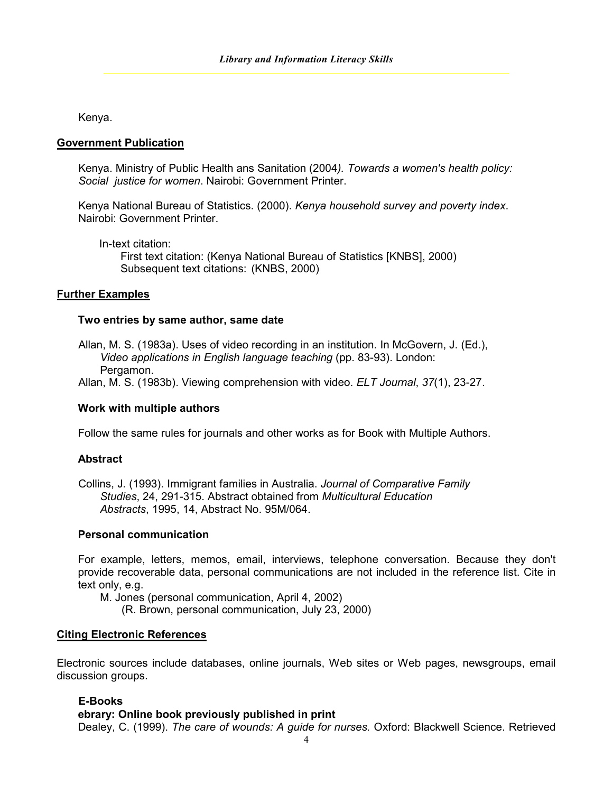Kenya.

## **Government Publication**

Kenya. Ministry of Public Health ans Sanitation (2004*). Towards a women's health policy: Social justice for women*. Nairobi: Government Printer.

Kenya National Bureau of Statistics. (2000). *Kenya household survey and poverty index*. Nairobi: Government Printer.

In-text citation:

First text citation: (Kenya National Bureau of Statistics [KNBS], 2000) Subsequent text citations: (KNBS, 2000)

## **Further Examples**

## **Two entries by same author, same date**

Allan, M. S. (1983a). Uses of video recording in an institution. In McGovern, J. (Ed.), *Video applications in English language teaching* (pp. 83-93). London: Pergamon.

Allan, M. S. (1983b). Viewing comprehension with video. *ELT Journal*, *37*(1), 23-27.

## **Work with multiple authors**

Follow the same rules for journals and other works as for Book with Multiple Authors.

## **Abstract**

Collins, J. (1993). Immigrant families in Australia. *Journal of Comparative Family Studies*, 24, 291-315. Abstract obtained from *Multicultural Education Abstracts*, 1995, 14, Abstract No. 95M/064.

## **Personal communication**

For example, letters, memos, email, interviews, telephone conversation. Because they don't provide recoverable data, personal communications are not included in the reference list. Cite in text only, e.g.

M. Jones (personal communication, April 4, 2002)

(R. Brown, personal communication, July 23, 2000)

## **Citing Electronic References**

Electronic sources include databases, online journals, Web sites or Web pages, newsgroups, email discussion groups.

## **E-Books**

## **ebrary: Online book previously published in print**

Dealey, C. (1999). *The care of wounds: A guide for nurses.* Oxford: Blackwell Science. Retrieved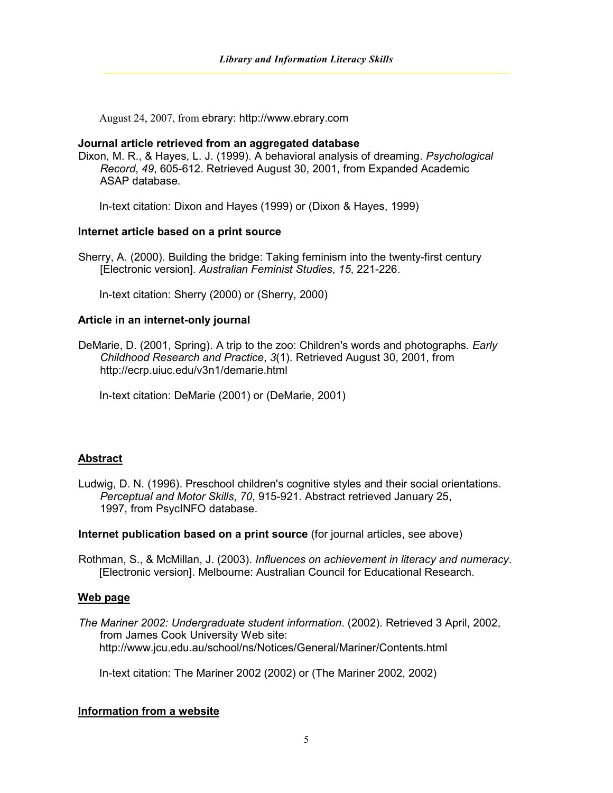August 24, 2007, from ebrary: http://www.ebrary.com

#### **Journal article retrieved from an aggregated database**

Dixon, M. R., & Hayes, L. J. (1999). A behavioral analysis of dreaming. *Psychological Record*, *49*, 605-612. Retrieved August 30, 2001, from Expanded Academic ASAP database.

In-text citation: Dixon and Hayes (1999) or (Dixon & Hayes, 1999)

#### **Internet article based on a print source**

Sherry, A. (2000). Building the bridge: Taking feminism into the twenty-first century [Electronic version]. *Australian Feminist Studies*, *15*, 221-226.

In-text citation: Sherry (2000) or (Sherry, 2000)

## **Article in an internet-only journal**

DeMarie, D. (2001, Spring). A trip to the zoo: Children's words and photographs*. Early Childhood Research and Practice*, *3*(1). Retrieved August 30, 2001, from http://ecrp.uiuc.edu/v3n1/demarie.html

In-text citation: DeMarie (2001) or (DeMarie, 2001)

## **Abstract**

Ludwig, D. N. (1996). Preschool children's cognitive styles and their social orientations. *Perceptual and Motor Skills*, *70*, 915-921. Abstract retrieved January 25, 1997, from PsycINFO database.

**Internet publication based on a print source** (for journal articles, see above)

Rothman, S., & McMillan, J. (2003). *Influences on achievement in literacy and numeracy*. [Electronic version]. Melbourne: Australian Council for Educational Research.

## **Web page**

*The Mariner 2002: Undergraduate student information*. (2002). Retrieved 3 April, 2002, from James Cook University Web site: http://www.jcu.edu.au/school/ns/Notices/General/Mariner/Contents.html

In-text citation: The Mariner 2002 (2002) or (The Mariner 2002, 2002)

## **Information from a website**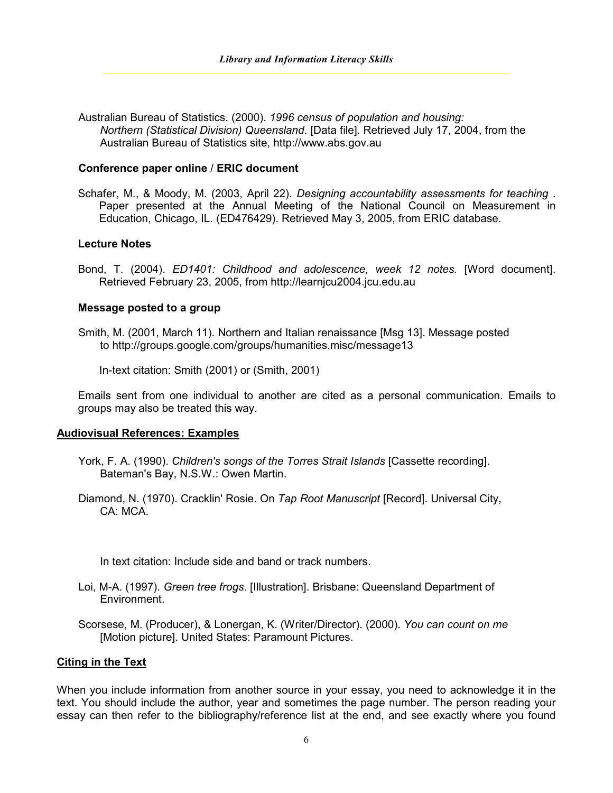Australian Bureau of Statistics. (2000). *1996 census of population and housing: Northern (Statistical Division) Queensland*. [Data file]. Retrieved July 17, 2004, from the Australian Bureau of Statistics site, http://www.abs.gov.au

#### **Conference paper online** / **ERIC document**

Schafer, M., & Moody, M. (2003, April 22). *Designing accountability assessments for teaching* . Paper presented at the Annual Meeting of the National Council on Measurement in Education, Chicago, IL. (ED476429). Retrieved May 3, 2005, from ERIC database.

#### **Lecture Notes**

Bond, T. (2004). *ED1401: Childhood and adolescence, week 12 notes.* [Word document]. Retrieved February 23, 2005, from http://learnjcu2004.jcu.edu.au

#### **Message posted to a group**

Smith, M. (2001, March 11). Northern and Italian renaissance [Msg 13]. Message posted to http://groups.google.com/groups/humanities.misc/message13

In-text citation: Smith (2001) or (Smith, 2001)

Emails sent from one individual to another are cited as a personal communication. Emails to groups may also be treated this way.

#### **Audiovisual References: Examples**

- York, F. A. (1990). *Children's songs of the Torres Strait Islands* [Cassette recording]. Bateman's Bay, N.S.W.: Owen Martin.
- Diamond, N. (1970). Cracklin' Rosie. On *Tap Root Manuscript* [Record]. Universal City, CA: MCA.

In text citation: Include side and band or track numbers.

- Loi, M-A. (1997). *Green tree frogs*. [Illustration]. Brisbane: Queensland Department of Environment.
- Scorsese, M. (Producer), & Lonergan, K. (Writer/Director). (2000). *You can count on me* [Motion picture]. United States: Paramount Pictures.

#### **Citing in the Text**

When you include information from another source in your essay, you need to acknowledge it in the text. You should include the author, year and sometimes the page number. The person reading your essay can then refer to the bibliography/reference list at the end, and see exactly where you found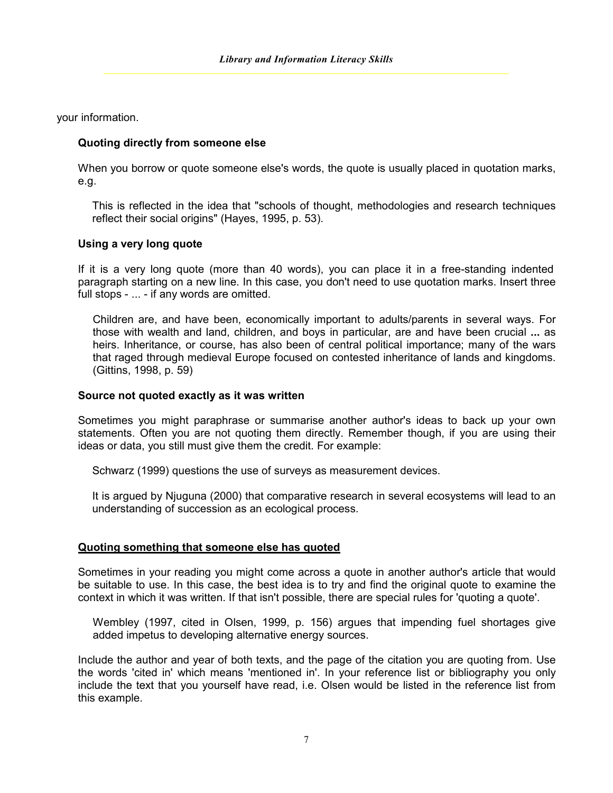your information.

## **Quoting directly from someone else**

When you borrow or quote someone else's words, the quote is usually placed in quotation marks, e.g.

This is reflected in the idea that "schools of thought, methodologies and research techniques reflect their social origins" (Hayes, 1995, p. 53).

## **Using a very long quote**

If it is a very long quote (more than 40 words), you can place it in a free-standing indented paragraph starting on a new line. In this case, you don't need to use quotation marks. Insert three full stops - ... - if any words are omitted.

Children are, and have been, economically important to adults/parents in several ways. For those with wealth and land, children, and boys in particular, are and have been crucial **...** as heirs. Inheritance, or course, has also been of central political importance; many of the wars that raged through medieval Europe focused on contested inheritance of lands and kingdoms. (Gittins, 1998, p. 59)

## **Source not quoted exactly as it was written**

Sometimes you might paraphrase or summarise another author's ideas to back up your own statements. Often you are not quoting them directly. Remember though, if you are using their ideas or data, you still must give them the credit. For example:

Schwarz (1999) questions the use of surveys as measurement devices.

It is argued by Njuguna (2000) that comparative research in several ecosystems will lead to an understanding of succession as an ecological process.

## **Quoting something that someone else has quoted**

Sometimes in your reading you might come across a quote in another author's article that would be suitable to use. In this case, the best idea is to try and find the original quote to examine the context in which it was written. If that isn't possible, there are special rules for 'quoting a quote'.

Wembley (1997, cited in Olsen, 1999, p. 156) argues that impending fuel shortages give added impetus to developing alternative energy sources.

Include the author and year of both texts, and the page of the citation you are quoting from. Use the words 'cited in' which means 'mentioned in'. In your reference list or bibliography you only include the text that you yourself have read, i.e. Olsen would be listed in the reference list from this example.